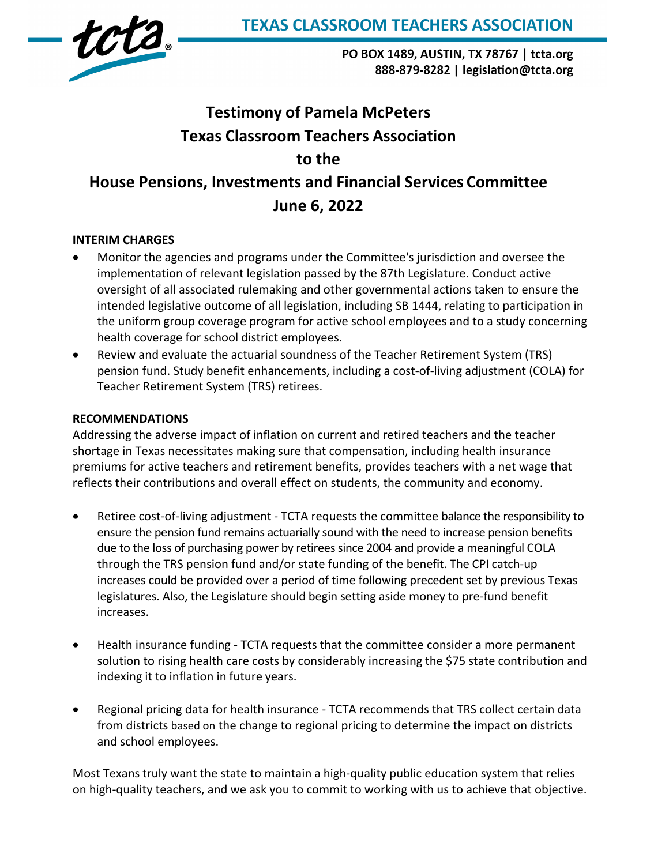

PO BOX 1489, AUSTIN, TX 78767 | tcta.org 888-879-8282 | legislation@tcta.org

# **Testimony of Pamela McPeters Texas Classroom Teachers Association to the House Pensions, Investments and Financial Services Committee June 6, 2022**

# **INTERIM CHARGES**

- Monitor the agencies and programs under the Committee's jurisdiction and oversee the implementation of relevant legislation passed by the 87th Legislature. Conduct active oversight of all associated rulemaking and other governmental actions taken to ensure the intended legislative outcome of all legislation, including SB 1444, relating to participation in the uniform group coverage program for active school employees and to a study concerning health coverage for school district employees.
- Review and evaluate the actuarial soundness of the Teacher Retirement System (TRS) pension fund. Study benefit enhancements, including a cost-of-living adjustment (COLA) for Teacher Retirement System (TRS) retirees.

## **RECOMMENDATIONS**

Addressing the adverse impact of inflation on current and retired teachers and the teacher shortage in Texas necessitates making sure that compensation, including health insurance premiums for active teachers and retirement benefits, provides teachers with a net wage that reflects their contributions and overall effect on students, the community and economy.

- Retiree cost-of-living adjustment TCTA requests the committee balance the responsibility to ensure the pension fund remains actuarially sound with the need to increase pension benefits due to the loss of purchasing power by retirees since 2004 and provide a meaningful COLA through the TRS pension fund and/or state funding of the benefit. The CPI catch-up increases could be provided over a period of time following precedent set by previous Texas legislatures. Also, the Legislature should begin setting aside money to pre-fund benefit increases.
- Health insurance funding TCTA requests that the committee consider a more permanent solution to rising health care costs by considerably increasing the \$75 state contribution and indexing it to inflation in future years.
- Regional pricing data for health insurance TCTA recommends that TRS collect certain data from districts based on the change to regional pricing to determine the impact on districts and school employees.

Most Texans truly want the state to maintain a high-quality public education system that relies on high-quality teachers, and we ask you to commit to working with us to achieve that objective.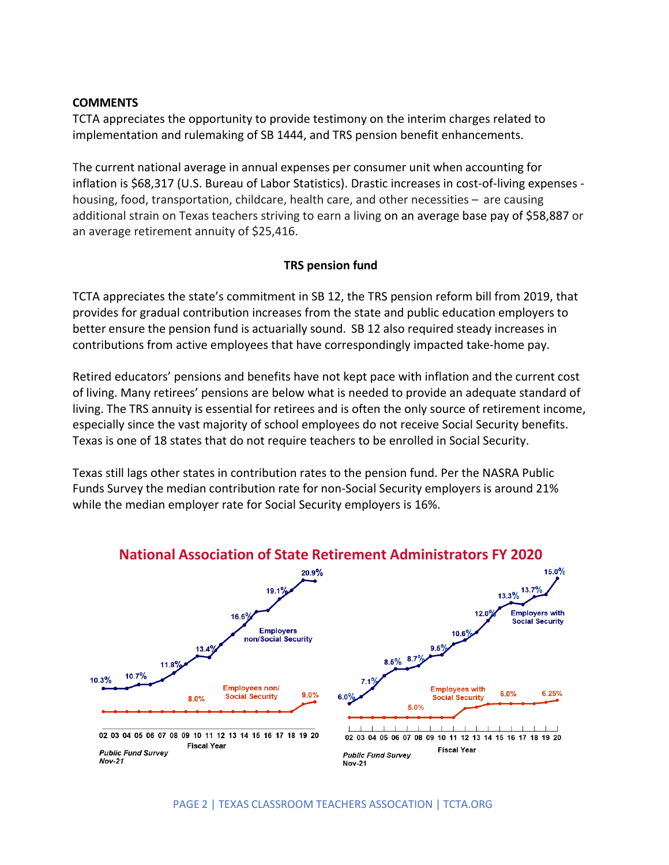#### **COMMENTS**

TCTA appreciates the opportunity to provide testimony on the interim charges related to implementation and rulemaking of SB 1444, and TRS pension benefit enhancements.

The current national average in annual expenses per consumer unit when accounting for inflation is \$68,317 (U.S. Bureau of Labor Statistics). Drastic increases in cost-of-living expenses housing, food, transportation, childcare, health care, and other necessities – are causing additional strain on Texas teachers striving to earn a living on an average base pay of \$58,887 or an average retirement annuity of \$25,416.

## **TRS pension fund**

TCTA appreciates the state's commitment in SB 12, the TRS pension reform bill from 2019, that provides for gradual contribution increases from the state and public education employers to better ensure the pension fund is actuarially sound. SB 12 also required steady increases in contributions from active employees that have correspondingly impacted take-home pay.

Retired educators' pensions and benefits have not kept pace with inflation and the current cost of living. Many retirees' pensions are below what is needed to provide an adequate standard of living. The TRS annuity is essential for retirees and is often the only source of retirement income, especially since the vast majority of school employees do not receive Social Security benefits. Texas is one of 18 states that do not require teachers to be enrolled in Social Security.

Texas still lags other states in contribution rates to the pension fund. Per the NASRA Public Funds Survey the median contribution rate for non-Social Security employers is around 21% while the median employer rate for Social Security employers is 16%.



## **National Association of State Retirement Administrators FY 2020**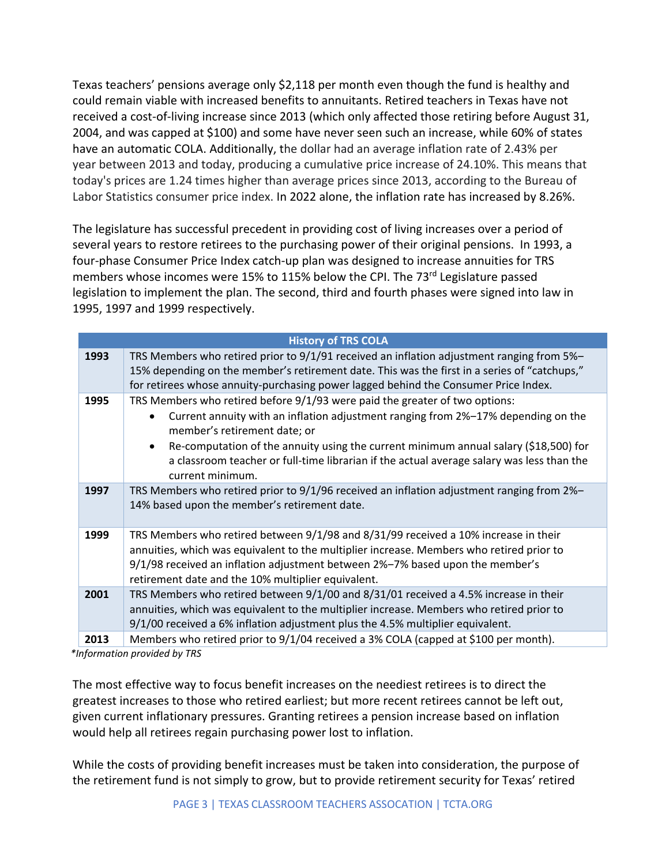Texas teachers' pensions average only \$2,118 per month even though the fund is healthy and could remain viable with increased benefits to annuitants. Retired teachers in Texas have not received a cost-of-living increase since 2013 (which only affected those retiring before August 31, 2004, and was capped at \$100) and some have never seen such an increase, while 60% of states have an automatic COLA. Additionally, the dollar had an average inflation rate of 2.43% per year between 2013 and today, producing a cumulative price increase of 24.10%. This means that today's prices are 1.24 times higher than average prices since 2013, according to the Bureau of Labor Statistics consumer price index. In 2022 alone, the inflation rate has increased by 8.26%.

The legislature has successful precedent in providing cost of living increases over a period of several years to restore retirees to the purchasing power of their original pensions. In 1993, a four-phase Consumer Price Index catch-up plan was designed to increase annuities for TRS members whose incomes were 15% to 115% below the CPI. The 73 $^{rd}$  Legislature passed legislation to implement the plan. The second, third and fourth phases were signed into law in 1995, 1997 and 1999 respectively.

| <b>History of TRS COLA</b> |                                                                                                                                                                                                                                                                                                                                                                                                                                     |  |  |  |  |  |
|----------------------------|-------------------------------------------------------------------------------------------------------------------------------------------------------------------------------------------------------------------------------------------------------------------------------------------------------------------------------------------------------------------------------------------------------------------------------------|--|--|--|--|--|
| 1993                       | TRS Members who retired prior to 9/1/91 received an inflation adjustment ranging from 5%-<br>15% depending on the member's retirement date. This was the first in a series of "catchups,"<br>for retirees whose annuity-purchasing power lagged behind the Consumer Price Index.                                                                                                                                                    |  |  |  |  |  |
| 1995                       | TRS Members who retired before 9/1/93 were paid the greater of two options:<br>Current annuity with an inflation adjustment ranging from 2%-17% depending on the<br>$\bullet$<br>member's retirement date; or<br>Re-computation of the annuity using the current minimum annual salary (\$18,500) for<br>$\bullet$<br>a classroom teacher or full-time librarian if the actual average salary was less than the<br>current minimum. |  |  |  |  |  |
| 1997                       | TRS Members who retired prior to 9/1/96 received an inflation adjustment ranging from 2%-<br>14% based upon the member's retirement date.                                                                                                                                                                                                                                                                                           |  |  |  |  |  |
| 1999                       | TRS Members who retired between 9/1/98 and 8/31/99 received a 10% increase in their<br>annuities, which was equivalent to the multiplier increase. Members who retired prior to<br>9/1/98 received an inflation adjustment between 2%-7% based upon the member's<br>retirement date and the 10% multiplier equivalent.                                                                                                              |  |  |  |  |  |
| 2001                       | TRS Members who retired between 9/1/00 and 8/31/01 received a 4.5% increase in their<br>annuities, which was equivalent to the multiplier increase. Members who retired prior to<br>9/1/00 received a 6% inflation adjustment plus the 4.5% multiplier equivalent.                                                                                                                                                                  |  |  |  |  |  |
| 2013                       | Members who retired prior to 9/1/04 received a 3% COLA (capped at \$100 per month).                                                                                                                                                                                                                                                                                                                                                 |  |  |  |  |  |

 *\*Information provided by TRS*

The most effective way to focus benefit increases on the neediest retirees is to direct the greatest increases to those who retired earliest; but more recent retirees cannot be left out, given current inflationary pressures. Granting retirees a pension increase based on inflation would help all retirees regain purchasing power lost to inflation.

While the costs of providing benefit increases must be taken into consideration, the purpose of the retirement fund is not simply to grow, but to provide retirement security for Texas' retired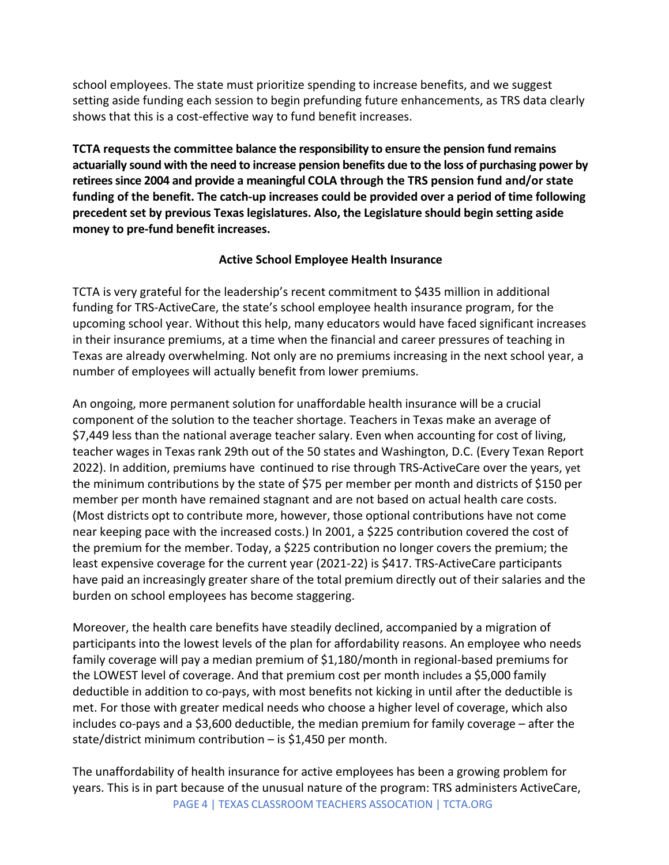school employees. The state must prioritize spending to increase benefits, and we suggest setting aside funding each session to begin prefunding future enhancements, as TRS data clearly shows that this is a cost-effective way to fund benefit increases.

**TCTA requests the committee balance the responsibility to ensure the pension fund remains actuarially sound with the need to increase pension benefits due to the loss of purchasing power by retirees since 2004 and provide a meaningful COLA through the TRS pension fund and/or state funding of the benefit. The catch-up increases could be provided over a period of time following precedent set by previous Texas legislatures. Also, the Legislature should begin setting aside money to pre-fund benefit increases.**

# **Active School Employee Health Insurance**

TCTA is very grateful for the leadership's recent commitment to \$435 million in additional funding for TRS-ActiveCare, the state's school employee health insurance program, for the upcoming school year. Without this help, many educators would have faced significant increases in their insurance premiums, at a time when the financial and career pressures of teaching in Texas are already overwhelming. Not only are no premiums increasing in the next school year, a number of employees will actually benefit from lower premiums.

An ongoing, more permanent solution for unaffordable health insurance will be a crucial component of the solution to the teacher shortage. Teachers in Texas make an average of \$7,449 less than the national average teacher salary. Even when accounting for cost of living, teacher wages in Texas rank 29th out of the 50 states and Washington, D.C. (Every Texan Report 2022). In addition, premiums have continued to rise through TRS-ActiveCare over the years, yet the minimum contributions by the state of \$75 per member per month and districts of \$150 per member per month have remained stagnant and are not based on actual health care costs. (Most districts opt to contribute more, however, those optional contributions have not come near keeping pace with the increased costs.) In 2001, a \$225 contribution covered the cost of the premium for the member. Today, a \$225 contribution no longer covers the premium; the least expensive coverage for the current year (2021-22) is \$417. TRS-ActiveCare participants have paid an increasingly greater share of the total premium directly out of their salaries and the burden on school employees has become staggering.

Moreover, the health care benefits have steadily declined, accompanied by a migration of participants into the lowest levels of the plan for affordability reasons. An employee who needs family coverage will pay a median premium of \$1,180/month in regional-based premiums for the LOWEST level of coverage. And that premium cost per month includes a \$5,000 family deductible in addition to co-pays, with most benefits not kicking in until after the deductible is met. For those with greater medical needs who choose a higher level of coverage, which also includes co-pays and a \$3,600 deductible, the median premium for family coverage – after the state/district minimum contribution – is \$1,450 per month.

PAGE 4 | TEXAS CLASSROOM TEACHERS ASSOCATION | TCTA.ORG The unaffordability of health insurance for active employees has been a growing problem for years. This is in part because of the unusual nature of the program: TRS administers ActiveCare,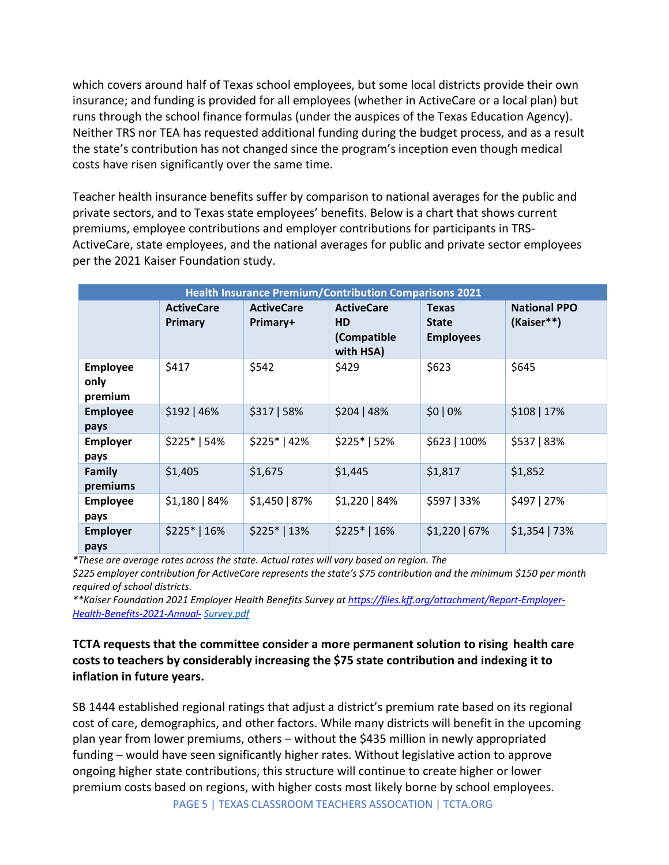which covers around half of Texas school employees, but some local districts provide their own insurance; and funding is provided for all employees (whether in ActiveCare or a local plan) but runs through the school finance formulas (under the auspices of the Texas Education Agency). Neither TRS nor TEA has requested additional funding during the budget process, and as a result the state's contribution has not changed since the program's inception even though medical costs have risen significantly over the same time.

Teacher health insurance benefits suffer by comparison to national averages for the public and private sectors, and to Texas state employees' benefits. Below is a chart that shows current premiums, employee contributions and employer contributions for participants in TRS-ActiveCare, state employees, and the national averages for public and private sector employees per the 2021 Kaiser Foundation study.

| <b>Health Insurance Premium/Contribution Comparisons 2021</b> |                              |                               |                                                     |                                                  |                                   |  |  |
|---------------------------------------------------------------|------------------------------|-------------------------------|-----------------------------------------------------|--------------------------------------------------|-----------------------------------|--|--|
|                                                               | <b>ActiveCare</b><br>Primary | <b>ActiveCare</b><br>Primary+ | <b>ActiveCare</b><br>HD<br>(Compatible<br>with HSA) | <b>Texas</b><br><b>State</b><br><b>Employees</b> | <b>National PPO</b><br>(Kaiser**) |  |  |
| <b>Employee</b><br>only<br>premium                            | \$417                        | \$542                         | \$429                                               | \$623                                            | \$645                             |  |  |
| <b>Employee</b><br>pays                                       | \$192 46%                    | \$317   58%                   | \$204   48%                                         | $$0 0\%$                                         | \$108 17%                         |  |  |
| <b>Employer</b><br>pays                                       | $$225* 54%$                  | $$225* 42%$                   | $$225* 52\%$                                        | \$623   100%                                     | \$537   83%                       |  |  |
| <b>Family</b><br>premiums                                     | \$1,405                      | \$1,675                       | \$1,445                                             | \$1,817                                          | \$1,852                           |  |  |
| <b>Employee</b><br>pays                                       | $$1,180 84\%$                | \$1,450   87%                 | \$1,220   84%                                       | \$597   33%                                      | \$497   27%                       |  |  |
| <b>Employer</b><br>pays                                       | $$225* 16%$                  | $$225* 13%$                   | $$225* 16%$                                         | $$1,220$   67%                                   | $$1,354$   73%                    |  |  |

*\*These are average rates across the state. Actual rates will vary based on region. The*

*\$225 employer contribution for ActiveCare represents the state's \$75 contribution and the minimum \$150 per month required of school districts.*

*\*\*Kaiser Foundation 2021 Employer Health Benefits Survey a[t https://files.kff.org/attachment/Report-Employer-](https://files.kff.org/attachment/Report-Employer-Health-Benefits-2021-Annual-)[Health-Benefits-2021-Annual-](https://files.kff.org/attachment/Report-Employer-Health-Benefits-2021-Annual-) [Survey.pdf](https://files.kff.org/attachment/Report-Employer-Health-Benefits-2021-Annual-Survey.pdf)*

**TCTA requests that the committee consider a more permanent solution to rising health care costs to teachers by considerably increasing the \$75 state contribution and indexing it to inflation in future years.**

SB 1444 established regional ratings that adjust a district's premium rate based on its regional cost of care, demographics, and other factors. While many districts will benefit in the upcoming plan year from lower premiums, others – without the \$435 million in newly appropriated funding – would have seen significantly higher rates. Without legislative action to approve ongoing higher state contributions, this structure will continue to create higher or lower premium costs based on regions, with higher costs most likely borne by school employees.